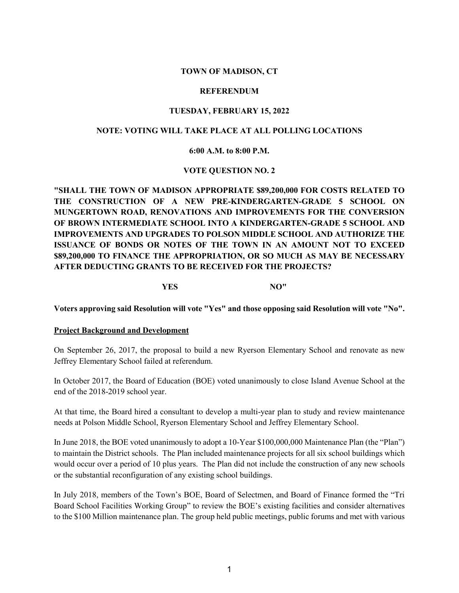## **TOWN OF MADISON, CT**

#### **REFERENDUM**

### **TUESDAY, FEBRUARY 15, 2022**

## **NOTE: VOTING WILL TAKE PLACE AT ALL POLLING LOCATIONS**

### **6:00 A.M. to 8:00 P.M.**

# **VOTE QUESTION NO. 2**

**"SHALL THE TOWN OF MADISON APPROPRIATE \$89,200,000 FOR COSTS RELATED TO THE CONSTRUCTION OF A NEW PRE-KINDERGARTEN-GRADE 5 SCHOOL ON MUNGERTOWN ROAD, RENOVATIONS AND IMPROVEMENTS FOR THE CONVERSION OF BROWN INTERMEDIATE SCHOOL INTO A KINDERGARTEN-GRADE 5 SCHOOL AND IMPROVEMENTS AND UPGRADES TO POLSON MIDDLE SCHOOL AND AUTHORIZE THE ISSUANCE OF BONDS OR NOTES OF THE TOWN IN AN AMOUNT NOT TO EXCEED \$89,200,000 TO FINANCE THE APPROPRIATION, OR SO MUCH AS MAY BE NECESSARY AFTER DEDUCTING GRANTS TO BE RECEIVED FOR THE PROJECTS?**

**YES NO"**

**Voters approving said Resolution will vote "Yes" and those opposing said Resolution will vote "No".**

#### **Project Background and Development**

On September 26, 2017, the proposal to build a new Ryerson Elementary School and renovate as new Jeffrey Elementary School failed at referendum.

In October 2017, the Board of Education (BOE) voted unanimously to close Island Avenue School at the end of the 2018-2019 school year.

At that time, the Board hired a consultant to develop a multi-year plan to study and review maintenance needs at Polson Middle School, Ryerson Elementary School and Jeffrey Elementary School.

In June 2018, the BOE voted unanimously to adopt a 10-Year \$100,000,000 Maintenance Plan (the "Plan") to maintain the District schools. The Plan included maintenance projects for all six school buildings which would occur over a period of 10 plus years. The Plan did not include the construction of any new schools or the substantial reconfiguration of any existing school buildings.

In July 2018, members of the Town's BOE, Board of Selectmen, and Board of Finance formed the "Tri Board School Facilities Working Group" to review the BOE's existing facilities and consider alternatives to the \$100 Million maintenance plan. The group held public meetings, public forums and met with various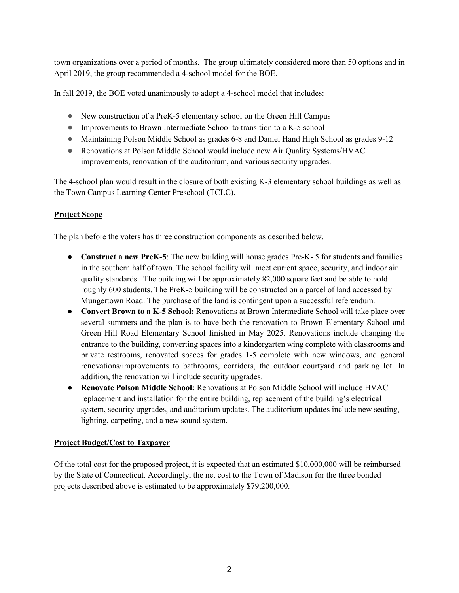town organizations over a period of months. The group ultimately considered more than 50 options and in April 2019, the group recommended a 4-school model for the BOE.

In fall 2019, the BOE voted unanimously to adopt a 4-school model that includes:

- New construction of a PreK-5 elementary school on the Green Hill Campus
- Improvements to Brown Intermediate School to transition to a K-5 school
- Maintaining Polson Middle School as grades 6-8 and Daniel Hand High School as grades 9-12
- Renovations at Polson Middle School would include new Air Quality Systems/HVAC improvements, renovation of the auditorium, and various security upgrades.

The 4-school plan would result in the closure of both existing K-3 elementary school buildings as well as the Town Campus Learning Center Preschool (TCLC).

# **Project Scope**

The plan before the voters has three construction components as described below.

- **Construct a new PreK-5**: The new building will house grades Pre-K- 5 for students and families in the southern half of town. The school facility will meet current space, security, and indoor air quality standards. The building will be approximately 82,000 square feet and be able to hold roughly 600 students. The PreK-5 building will be constructed on a parcel of land accessed by Mungertown Road. The purchase of the land is contingent upon a successful referendum.
- **Convert Brown to a K-5 School:** Renovations at Brown Intermediate School will take place over several summers and the plan is to have both the renovation to Brown Elementary School and Green Hill Road Elementary School finished in May 2025. Renovations include changing the entrance to the building, converting spaces into a kindergarten wing complete with classrooms and private restrooms, renovated spaces for grades 1-5 complete with new windows, and general renovations/improvements to bathrooms, corridors, the outdoor courtyard and parking lot. In addition, the renovation will include security upgrades.
- **Renovate Polson Middle School:** Renovations at Polson Middle School will include HVAC replacement and installation for the entire building, replacement of the building's electrical system, security upgrades, and auditorium updates. The auditorium updates include new seating, lighting, carpeting, and a new sound system.

# **Project Budget/Cost to Taxpayer**

Of the total cost for the proposed project, it is expected that an estimated \$10,000,000 will be reimbursed by the State of Connecticut. Accordingly, the net cost to the Town of Madison for the three bonded projects described above is estimated to be approximately \$79,200,000.